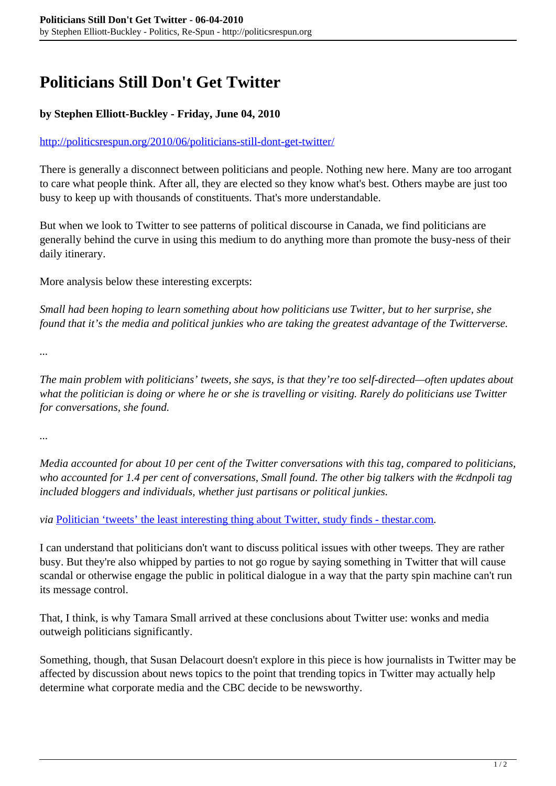## **Politicians Still Don't Get Twitter**

## **by Stephen Elliott-Buckley - Friday, June 04, 2010**

## <http://politicsrespun.org/2010/06/politicians-still-dont-get-twitter/>

There is generally a disconnect between politicians and people. Nothing new here. Many are too arrogant to care what people think. After all, they are elected so they know what's best. Others maybe are just too busy to keep up with thousands of constituents. That's more understandable.

But when we look to Twitter to see patterns of political discourse in Canada, we find politicians are generally behind the curve in using this medium to do anything more than promote the busy-ness of their daily itinerary.

More analysis below these interesting excerpts:

*Small had been hoping to learn something about how politicians use Twitter, but to her surprise, she found that it's the media and political junkies who are taking the greatest advantage of the Twitterverse.*

*...*

*The main problem with politicians' tweets, she says, is that they're too self-directed—often updates about what the politician is doing or where he or she is travelling or visiting. Rarely do politicians use Twitter for conversations, she found.*

*...*

*Media accounted for about 10 per cent of the Twitter conversations with this tag, compared to politicians, who accounted for 1.4 per cent of conversations, Small found. The other big talkers with the #cdnpoli tag included bloggers and individuals, whether just partisans or political junkies.*

*via* [Politician 'tweets' the least interesting thing about Twitter, study finds - thestar.com](http://www.thestar.com/news/canada/article/817609--politician-tweets-the-least-interesting-thing-about-twitter-study-finds?bn=1)*.*

I can understand that politicians don't want to discuss political issues with other tweeps. They are rather busy. But they're also whipped by parties to not go rogue by saying something in Twitter that will cause scandal or otherwise engage the public in political dialogue in a way that the party spin machine can't run its message control.

That, I think, is why Tamara Small arrived at these conclusions about Twitter use: wonks and media outweigh politicians significantly.

Something, though, that Susan Delacourt doesn't explore in this piece is how journalists in Twitter may be affected by discussion about news topics to the point that trending topics in Twitter may actually help determine what corporate media and the CBC decide to be newsworthy.